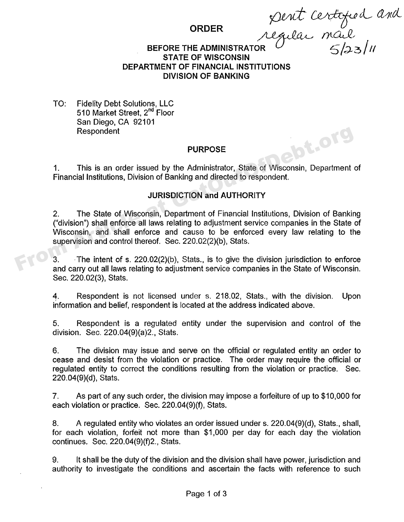d and

## **ORDER**

#### BEFORE THE ADMINISTRATOR  $\sim$  6/23/11 **STATE OF WISCONSIN DEPARTMENT OF FINANCIAL INSTITUTIONS DIVISION OF BANKING**

TO: Fidelity Debt Solutions, LLC 510 Market Street, 2<sup>nd</sup> Floor San Diego, CA 92101 Respondent

## **PURPOSE**

1. This is an order issued by the Administrator, State of Wisconsin, Department of Financial Institutions, Division of Banking and directed to respondent.

# **JURISDICTION and AUTHORITY**

2. The State of Wisconsin, Department of Financial Institutions, Division of Banking ("division") shall enforce all laws relating to adjustment service companies in the State of Wisconsin, and shall enforce and cause to be enforced every law relating to the supervision and control thereof. Sec. 220.02(2)(b), Stats. From Article at Getter of Singletter and carry out all laws relating to adiustment series in the State of Wisconsin, Department<br>
Frinancial Institutions, Division of Banking and directed to respondent.<br>
JURISDICTION and AU

 $3.$  The intent of s. 220.02(2)(b), Stats., is to give the division jurisdiction to enforce and carry out all laws relating to adjustment service companies in the State of Wisconsin, Sec. 220.02(3), Stats.

4. Respondent is not licensed under s. 218.02, Stats., with the division. Upon information and belief, respondent is located at the address indicated above.

5. Respondent is a regulated entity under the supervision and control of the division. Sec. 220.04(9)(a)2., Stats.

6. The division may issue and serve on the official or regulated entity an order to cease and desist from the violation or practice. The order may require the official or regulated entity to correct the conditions resulting from the violation or practice. Sec. 220.04(9)(d), Stats.

7. As part of any such order, the division may impose a forfeiture of up to \$10,000 for each violation or practice. Sec. 220.04(9)(f), Stats.

8. A regulated entity who violates an order issued under s. 220.04(9)(d), Stats., shall, for each violation, forfeit not more than \$1,000 per day for each day the violation continues. Sec. 220.04(9)(f)2., Stats.

9. It shall be the duty of the division and the division shall have power, jurisdiction and authority to investigate the conditions and ascertain the facts with reference to such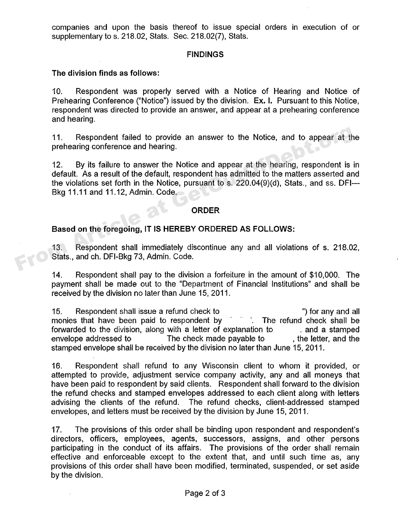companies and upon the basis thereof to issue special orders in execution of or supplementary to s. 218.02, Stats. Sec. 218.02(7), Stats.

#### **FINDINGS**

### **The division finds as follows:**

10. Respondent was properly served with a Notice of Hearing and Notice of Prehearing Conference ("Notice") issued by the division. **Ex. I.** Pursuant to this Notice, respondent was directed to provide an answer, and appear at a prehearing conference and hearing.

11. Respondent failed to provide an answer to the Notice, and to appear at the prehearing conference and hearing.

12. By its failure to answer the Notice and appear at the hearing, respondent is in default. As a result of the default, respondent has admitted to the matters asserted and the violations set forth in the Notice, pursuant to s. 220.04(9)(d), Stats., and ss. DFI Bkg 11.11 and 11.12, Admin. Code. 11. Respondent failed to provide an answer to the Notice, and to appear at the prehearing conference and hearing.<br>
12. By its failure to answer the Notice and appear at the hearing, respondent is idefault. As a result of

#### **ORDER**

## **Based on the foregoing, IT IS HEREBY ORDERED AS FOLLOWS:**

13. Respondent shall immediately discontinue any and all violations of s. 218.02, Stats., and ch. DFI-Bkg 73, Admin, Code.

14. Respondent shall pay to the division a forfeiture in the amount of \$10,000. The payment shall be made out to the "Department of Financial Institutions" and shall be received by the division no later than June 15, 2011.

15. Respondent shall issue a refund check to ") for any and all monies that have been paid to respondent by " ". The refund check shall be monies that have been paid to respondent by forwarded to the division, along with a letter of explanation to ... and a stamped envelope addressed to The check made payable to , the letter, and the stamped envelope shall be received by the division no later than June 15, 2011.

16. Respondent shall refund to any Wisconsin client to whom it provided, or attempted to provide, adjustment service company activity, any and all moneys that have been paid to respondent by said clients. Respondent shall forward to the division the refund checks and stamped envelopes addressed to each client along with letters advising the clients of the refund. The refund checks, client-addressed stamped envelopes, and letters must be received by the division by June 15, 2011.

17. The provisions of this order shall be binding upon respondent and respondent's directors, officers, employees, agents, successors, assigns, and other persons participating in the conduct of its affairs. The provisions of the order shall remain effective and enforceable except to the extent that, and until such time as, any provisions of this order shall have been modified, terminated, suspended, or set aside by the division.